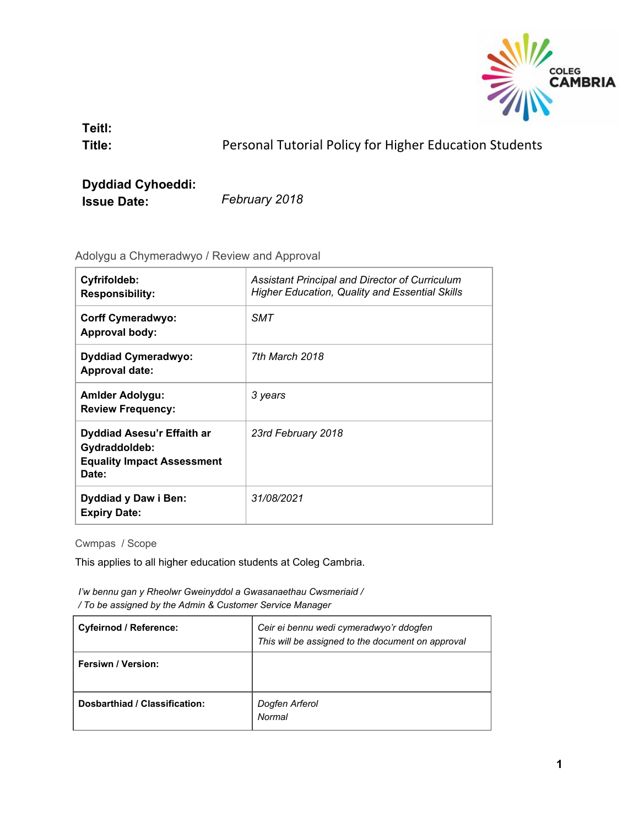

**Teitl:**

**Title:** Personal Tutorial Policy for Higher Education Students

# **Dyddiad Cyhoeddi: Issue Date:** *February 2018*

Adolygu a Chymeradwyo / Review and Approval

| Cyfrifoldeb:<br><b>Responsibility:</b>                                                    | Assistant Principal and Director of Curriculum<br>Higher Education, Quality and Essential Skills |
|-------------------------------------------------------------------------------------------|--------------------------------------------------------------------------------------------------|
| <b>Corff Cymeradwyo:</b><br><b>Approval body:</b>                                         | <b>SMT</b>                                                                                       |
| <b>Dyddiad Cymeradwyo:</b><br><b>Approval date:</b>                                       | 7th March 2018                                                                                   |
| <b>Amlder Adolygu:</b><br><b>Review Frequency:</b>                                        | 3 years                                                                                          |
| Dyddiad Asesu'r Effaith ar<br>Gydraddoldeb:<br><b>Equality Impact Assessment</b><br>Date: | 23rd February 2018                                                                               |
| Dyddiad y Daw i Ben:<br><b>Expiry Date:</b>                                               | 31/08/2021                                                                                       |

Cwmpas / Scope

This applies to all higher education students at Coleg Cambria.

*I'w bennu gan y Rheolwr Gweinyddol a Gwasanaethau Cwsmeriaid / / To be assigned by the Admin & Customer Service Manager*

| <b>Cyfeirnod / Reference:</b> | Ceir ei bennu wedi cymeradwyo'r ddogfen<br>This will be assigned to the document on approval |
|-------------------------------|----------------------------------------------------------------------------------------------|
| <b>Fersiwn / Version:</b>     |                                                                                              |
| Dosbarthiad / Classification: | Dogfen Arferol<br>Normal                                                                     |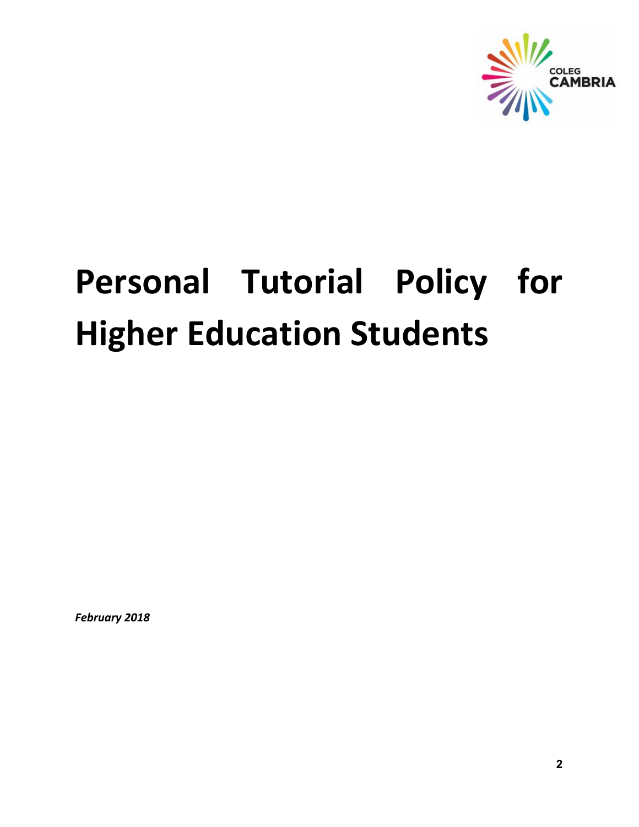

# **Personal Tutorial Policy for Higher Education Students**

*February 2018*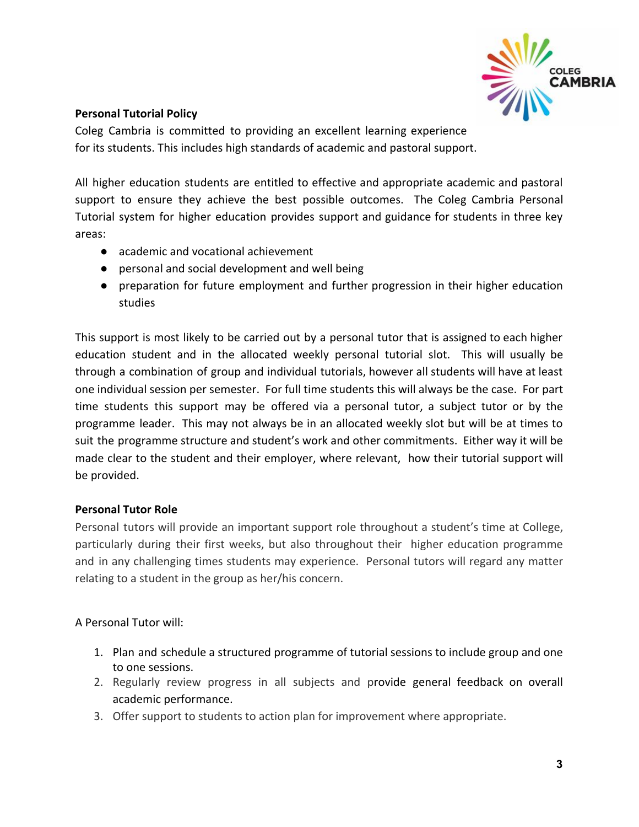

#### **Personal Tutorial Policy**

Coleg Cambria is committed to providing an excellent learning experience for its students. This includes high standards of academic and pastoral support.

All higher education students are entitled to effective and appropriate academic and pastoral support to ensure they achieve the best possible outcomes. The Coleg Cambria Personal Tutorial system for higher education provides support and guidance for students in three key areas:

- academic and vocational achievement
- personal and social development and well being
- preparation for future employment and further progression in their higher education studies

This support is most likely to be carried out by a personal tutor that is assigned to each higher education student and in the allocated weekly personal tutorial slot. This will usually be through a combination of group and individual tutorials, however all students will have at least one individual session per semester. For full time students this will always be the case. For part time students this support may be offered via a personal tutor, a subject tutor or by the programme leader. This may not always be in an allocated weekly slot but will be at times to suit the programme structure and student's work and other commitments. Either way it will be made clear to the student and their employer, where relevant, how their tutorial support will be provided.

#### **Personal Tutor Role**

Personal tutors will provide an important support role throughout a student's time at College, particularly during their first weeks, but also throughout their higher education programme and in any challenging times students may experience. Personal tutors will regard any matter relating to a student in the group as her/his concern.

## A Personal Tutor will:

- 1. Plan and schedule a structured programme of tutorial sessions to include group and one to one sessions.
- 2. Regularly review progress in all subjects and provide general feedback on overall academic performance.
- 3. Offer support to students to action plan for improvement where appropriate.